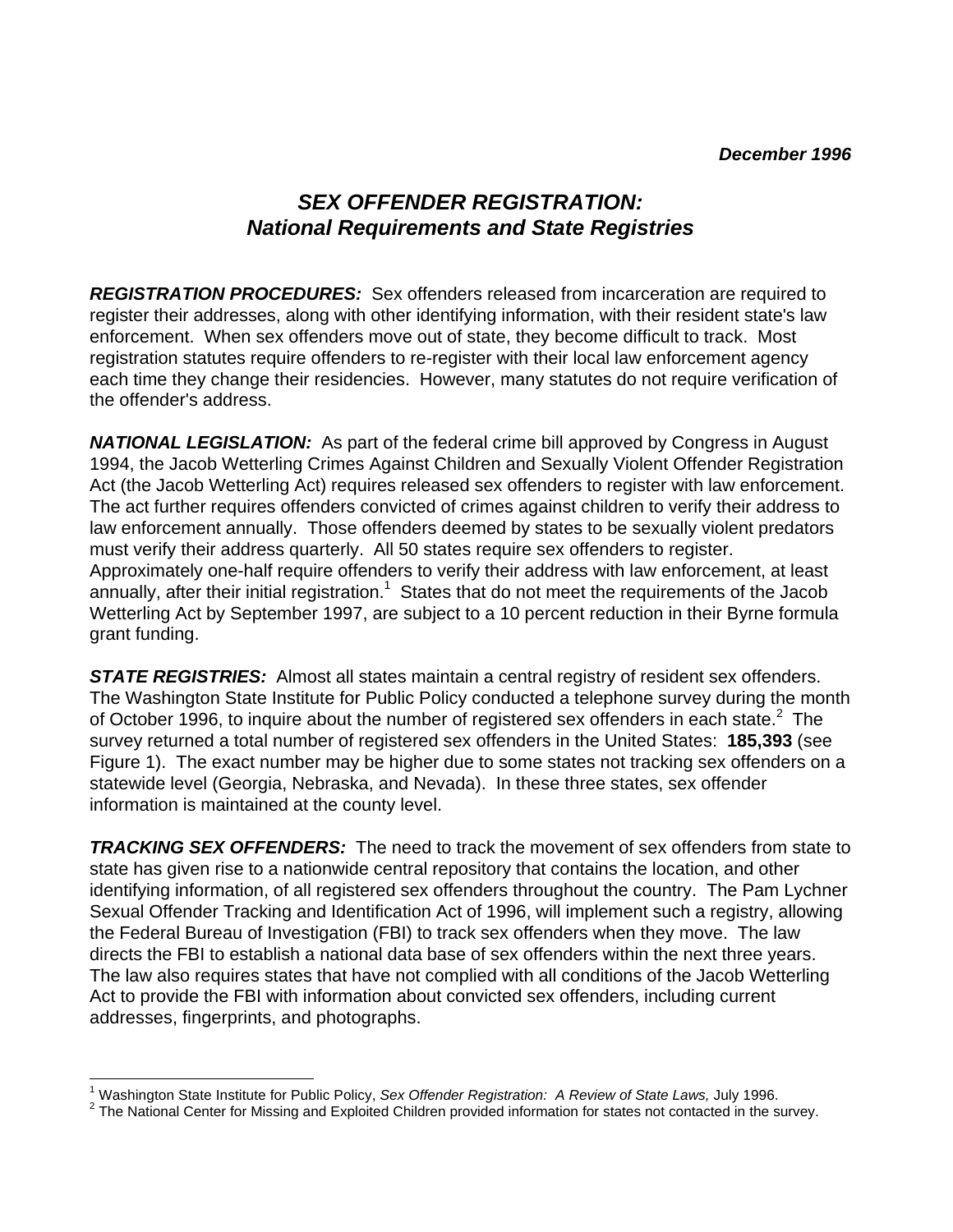## *SEX OFFENDER REGISTRATION: National Requirements and State Registries*

*REGISTRATION PROCEDURES:* Sex offenders released from incarceration are required to register their addresses, along with other identifying information, with their resident state's law enforcement. When sex offenders move out of state, they become difficult to track. Most registration statutes require offenders to re-register with their local law enforcement agency each time they change their residencies. However, many statutes do not require verification of the offender's address.

*NATIONAL LEGISLATION:* As part of the federal crime bill approved by Congress in August 1994, the Jacob Wetterling Crimes Against Children and Sexually Violent Offender Registration Act (the Jacob Wetterling Act) requires released sex offenders to register with law enforcement. The act further requires offenders convicted of crimes against children to verify their address to law enforcement annually. Those offenders deemed by states to be sexually violent predators must verify their address quarterly. All 50 states require sex offenders to register. Approximately one-half require offenders to verify their address with law enforcement, at least annually, after their initial registration.<sup>1</sup> States that do not meet the requirements of the Jacob Wetterling Act by September 1997, are subject to a 10 percent reduction in their Byrne formula grant funding.

*STATE REGISTRIES:* Almost all states maintain a central registry of resident sex offenders. The Washington State Institute for Public Policy conducted a telephone survey during the month of October 1996, to inquire about the number of registered sex offenders in each state. $2$  The survey returned a total number of registered sex offenders in the United States: **185,393** (see Figure 1). The exact number may be higher due to some states not tracking sex offenders on a statewide level (Georgia, Nebraska, and Nevada). In these three states, sex offender information is maintained at the county level.

*TRACKING SEX OFFENDERS:* The need to track the movement of sex offenders from state to state has given rise to a nationwide central repository that contains the location, and other identifying information, of all registered sex offenders throughout the country. The Pam Lychner Sexual Offender Tracking and Identification Act of 1996, will implement such a registry, allowing the Federal Bureau of Investigation (FBI) to track sex offenders when they move. The law directs the FBI to establish a national data base of sex offenders within the next three years. The law also requires states that have not complied with all conditions of the Jacob Wetterling Act to provide the FBI with information about convicted sex offenders, including current addresses, fingerprints, and photographs.

l 1 Washington State Institute for Public Policy, *Sex Offender Registration: A Review of State Laws,* July 1996.

 $2$  The National Center for Missing and Exploited Children provided information for states not contacted in the survey.